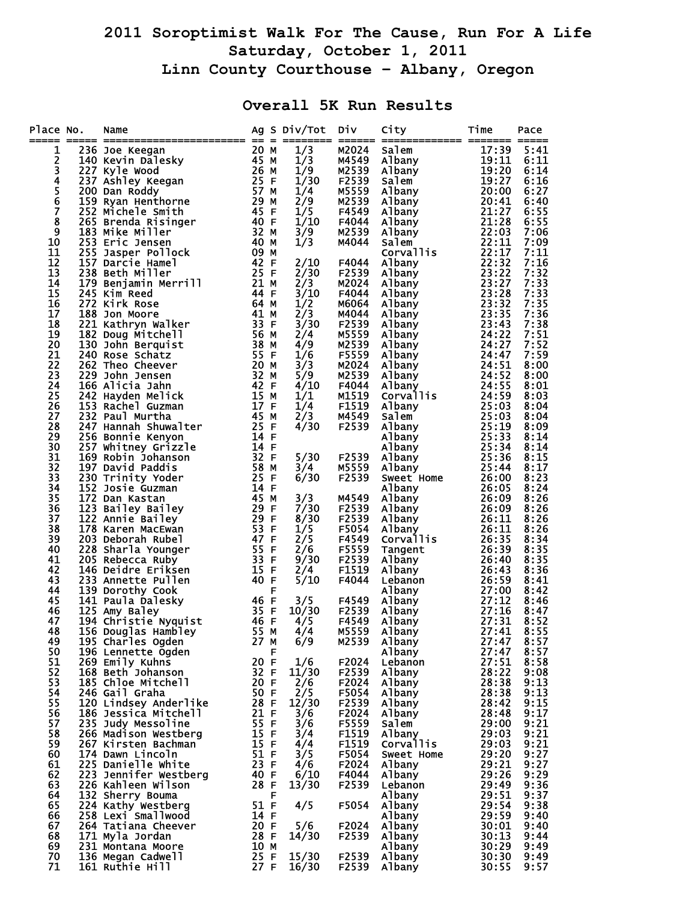## **2011 Soroptimist Walk For The Cause, Run For A Life Saturday, October 1, 2011 Linn County Courthouse – Albany, Oregon**

## **Overall 5K Run Results**

| Place No.<br>==  | Name                                     |                   |   | Ag S Div/Tot | <b>DIV</b>     | City                      | Time<br>====== =====  | Pace         |
|------------------|------------------------------------------|-------------------|---|--------------|----------------|---------------------------|-----------------------|--------------|
| 1                |                                          |                   |   | 1/3          | M2024          | Salem                     | 17:39                 | 5:41         |
| 2                |                                          |                   |   | 1/3          | M4549          |                           | 19:11                 | 6:11         |
| 3                |                                          |                   |   | 1/9          | M2539          | Albany<br>Albany<br>Salem | 19:20                 | 6:14         |
|                  |                                          |                   |   | 1/30         | F2539          | Salem                     | 19:27                 | 6:16         |
| 4<br>5<br>6<br>7 |                                          |                   |   | 1/4          | M5559          | Albany                    | 20:00                 | 6:27         |
|                  |                                          |                   |   | 2/9          | M2539          | Albany                    | 20:41                 | 6:40         |
|                  |                                          |                   |   | 1/5          | F4549          | Albany                    | 21:27                 | 6:55         |
| 8                |                                          |                   |   | 1/10         | F4044          | Albany                    | 21:28                 | 6:55         |
| 9                |                                          |                   |   | 3/9          | M2539          | Albany                    | 22:03                 | 7:06         |
| 10<br>11         | 255 Jasper Pollock                       | 09 M              |   | 1/3          | M4044          | Salem<br>Corvallis        | 22:11<br>22:17        | 7:09<br>7:11 |
| 12               | 157 Darcie Hamel                         | 42 F              |   | 2/10         | F4044          | Albany                    |                       | 7:16         |
| 13               | 238 Beth Miller                          | 25 F              |   | 2/30         | F2539          | Albany                    | $\frac{22:32}{23:22}$ | 7:32         |
| 14               | 179 Benjamin Merrill                     | 21 M              |   | 2/3          | M2024          | Albany                    | 23:27                 | 7:33         |
| 15               | 245 Kim Reed                             | 44 F              |   | 3/10         | F4044          | Albany                    | 23:28                 | 7:33         |
| 16               | 272 Kirk Rose                            | 64 M              |   | 1/2          | M6064          | Albany                    | 23:32<br>23:35        | 7:35         |
| 17               | 188 Jon Moore                            | 41 M              |   | 2/3          | M4044          | Albany                    |                       | 7:36         |
| 18               | 221 Kathryn Walker                       | 33 F              |   | 3/30         | F2539          | <b>Albany</b>             | 23:43                 | 7:38         |
| 19               | 182 Doug Mitchell                        | 56 M              |   | 2/4          | M5559          | Albany                    | 24:22                 | 7:51         |
| 20               | 130 John Berquist                        | 38 M              |   | 4/9          | M2539          | Albany                    | 24:27                 | 7:52         |
| 21               | 240 Rose Schatz                          | 55 F              |   | 1/6          | F5559          | Albany                    | 24:47                 | 7:59         |
| 22<br>23         | 262 Theo Cheever<br>229 John Jensen      | 20 M<br>32 M      |   | 3/3          | M2024<br>M2539 | Albany                    | 24:51<br>24:52        | 8:00<br>8:00 |
| 24               | 166 Alicia Jahn                          | 42 F              |   | 5/9<br>4/10  | F4044          | Albany<br>Albany          | 24:55                 | 8:01         |
| 25               | 242 Hayden Melick                        | 15 M              |   | 1/1          | M1519          | Corvallis                 | 24:59                 | 8:03         |
| 26               | 153 Rachel Guzman                        | 17 F              |   | 1/4          | F1519          | Albany                    | 25:03                 | 8:04         |
| 27               | 232 Paul Murtha                          | 45 M              |   | 2/3          | M4549          | Salem                     | 25:03                 | 8:04         |
| 28               | 247 Hannah Shuwalter                     | 25 F              |   | 4/30         | F2539          | Albany                    | 25:19                 | 8:09         |
| 29               | 256 Bonnie Kenyon                        | 14 F              |   |              |                | Albany                    | 25:33                 | 8:14         |
| 30               | 257 Whitney Grizzle                      | 14 F              |   |              |                | <b>Albany</b>             | 25:34                 | 8:14         |
| 31               | 169 Robin Johanson                       | 32 F              |   | 5/30         | F2539          | Albany                    | 25:36                 | 8:15         |
| 32               | 197 David Paddis                         | 58 M              |   | 3/4          | M5559          | Albany                    | 25:44                 | 8:17         |
| 33               | 230 Trinity Yoder                        | 25 F              |   | 6/30         | F2539          | Sweet Home                | 26:00                 | 8:23         |
| 34               | 152 Josie Guzman                         | 14 F              |   |              |                | Albany                    | 26:05                 | 8:24         |
| 35               | 172 Dan Kastan                           | 45 M              |   | 3/3<br>7/30  | M4549          | Albany                    | 26:09                 | 8:26         |
| 36<br>37         | 123 Bailey Bailey<br>122 Annie Bailey    | 29 F<br>29 F      |   | 8/30         | F2539<br>F2539 | Albany<br>Albany          | 26:09<br>26:11        | 8:26<br>8:26 |
| 38               | 178 Karen MacEwan                        | $\overline{53}$ F |   | 1/5          | F5054          | Albany                    | 26:11                 | 8:26         |
| 39               | 203 Deborah Rubel                        | 47 F              |   | 2/5          | F4549          | <b>Corvallis</b>          | 26:35                 | 8:34         |
| 40               | 228 Sharla Younger                       | 55 F              |   | 2/6          | F5559          | Tangent                   | 26:39                 | 8:35         |
| 41               | 205 Rebecca Ruby                         | 33 F              |   | 9/30         | F2539          | Albany                    | 26:40                 | 8:35         |
| 42               | 146 Deidre Eriksen                       | 15 F              |   | 2/4          | F1519          | Albany                    | 26:43                 | 8:36         |
| 43               | 233 Annette Pullen                       | 40 F              |   | 5/10         | F4044          | Lebanon                   | 26:59                 | 8:41         |
| 44               | 139 Dorothy Cook                         |                   | F |              |                | Albany                    | 27:00                 | 8:42         |
| 45               | 141 Paula Dalesky                        | $\frac{46}{35}$ F |   | 3/5          | F4549          | Albany                    | 27:12                 | 8:46         |
| 46               | 125 Amy Baley                            |                   |   | 10/30        | F2539          | Albany                    | 27:16                 | 8:47         |
| 47<br>48         | 194 Christie Nyquist                     | 46 F<br>55 M      |   | 4/5          | F4549<br>M5559 | Albany                    | 27:31<br>27:41        | 8:52<br>8:55 |
| 49               | 156 Douglas Hambley<br>195 Charles Ogden | 27 M              |   | 4/4<br>6/9   | M2539          | Albany<br>Albany          | 27:47                 | 8:57         |
| 50               | 196 Lennette Ogden                       |                   | F |              |                | A <sub>1</sub> bany       | 27:47                 | 8:57         |
| 51               | 269 Emily Kuhns                          | 20 F              |   | 1/6          | F2024          | Lebanon                   | 27:51                 | 8:58         |
| 52               | 168 Beth Johanson                        | 32 F              |   | 11/30        | F2539          | Albany                    | 28:22                 | 9:08         |
| 53               | 185 Chloe Mitchell                       | 20 F              |   | 2/6          | F2024          | Albany                    | 28:38                 | 9:13         |
| 54               | 246 Gail Graha                           | 50 F              |   | 2/5          | F5054          | <b>Albany</b>             | 28:38                 | 9:13         |
| 55               | 120 Lindsey Anderlike                    | 28 F              |   | 12/30        | F2539          | Albany                    | 28:42                 | 9:15         |
| 56               | 186 Jessica Mitchell                     | 21 F              |   | 3/6          | F2024          | Albany                    | 28:48                 | 9:17         |
| 57               | 235 Judy Messoline                       | 55 F              |   | 3/6          | F5559          | Salem                     | 29:00                 | 9:21         |
| 58               | 266 Madison Westberg                     | 15 F              |   | 3/4          | F1519          | Albany                    | 29:03                 | 9:21         |
| 59               | 267 Kirsten Bachman                      | 15 F<br>51 F      |   | 4/4          | F1519          | Corvallis                 | 29:03                 | 9:21         |
| 60<br>61         | 174 Dawn Lincoln<br>225 Danielle White   | 23 F              |   | 3/5<br>4/6   | F5054<br>F2024 | Sweet Home<br>Albany      | 29:20<br>29:21        | 9:27<br>9:27 |
| 62               | 223 Jennifer Westberg                    | 40 F              |   | 6/10         | F4044          | <b>Albany</b>             | 29:26                 | 9:29         |
| 63               | 226 Kahleen Wilson                       | 28 F              |   | 13/30        | F2539          | Lebanon                   | 29:49                 | 9:36         |
| 64               | 132 Sherry Bouma                         |                   | F |              |                | A <sub>1</sub> bany       | 29:51                 | 9:37         |
| 65               | 224 Kathy Westberg                       | 51 F              |   | 4/5          | F5054          | Albany                    | 29:54                 | 9:38         |
| 66               | 258 Lexi Smallwood                       | 14 F              |   |              |                | Albany                    | 29:59                 | 9:40         |
| 67               | 264 Tatiana Cheever                      | 20 F              |   | 5/6          | F2024          | Albany                    | 30:01                 | 9:40         |
| 68               | 171 Myla Jordan                          | 28 F              |   | 14/30        | F2539          | Albany                    | 30:13                 | 9:44         |
| 69               | 231 Montana Moore                        | 10 M              |   |              |                | Albany                    | 30:29                 | 9:49         |
| 70               | 136 Megan Cadwell                        | 25 F              |   | 15/30        | F2539          | Albany                    | 30:30                 | 9:49         |
| 71               | 161 Ruthie Hill                          | 27 F              |   | 16/30        | F2539          | Albany                    | 30:55                 | 9:57         |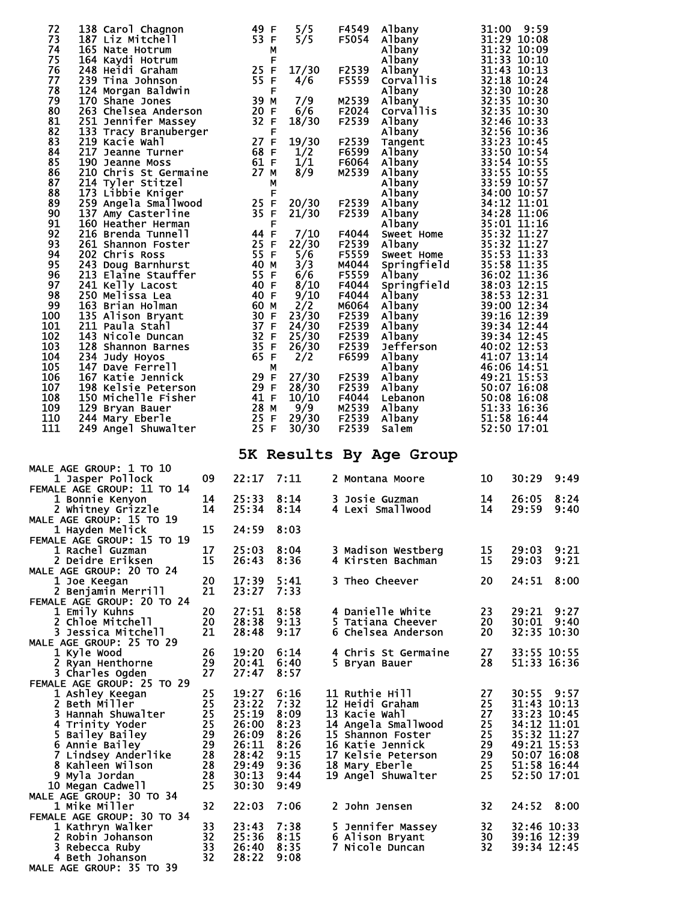| 72<br>138 Carol Chagnon<br>73<br>187 Liz Mitchell                                                                                                                                                                                                                                |          | 49 F<br>53 F                                                | 5/5<br>5/5     | F4549<br>F5054 | Albany<br>Albany<br>Albany<br>Albany<br>Albany<br>Corvallic                                                                                                                                                                                                                      | 31:00                    | 9:59<br>31:29 10:08        |                     |
|----------------------------------------------------------------------------------------------------------------------------------------------------------------------------------------------------------------------------------------------------------------------------------|----------|-------------------------------------------------------------|----------------|----------------|----------------------------------------------------------------------------------------------------------------------------------------------------------------------------------------------------------------------------------------------------------------------------------|--------------------------|----------------------------|---------------------|
| 74<br>165 Nate Hotrum<br>75<br>164 Kaydi Hotrum                                                                                                                                                                                                                                  |          | $\begin{array}{c} 25 \text{ F} \\ 55 \text{ F} \end{array}$ |                |                |                                                                                                                                                                                                                                                                                  |                          | 31:32 10:09<br>31:33 10:10 |                     |
| 76<br>248 Heidi Graham<br>77                                                                                                                                                                                                                                                     |          |                                                             | 17/30          | F2539          | Albany<br>21:43 10:13<br>Corvallis<br>32:18 10:24<br>Albany<br>32:30 10:28<br>Albany<br>32:35 10:30<br>Corvallis<br>32:35 10:30<br>Corvallis<br>32:35 10:30<br>21:45 10:33<br>Albany<br>33:55 10:53<br>Tangent<br>33:23 10:45<br>Albany<br>33:59 10:54<br>Albany<br>33           |                          | 31:43 10:13                |                     |
| 239 Tina Johnson<br>239 T1na Jonnson<br>124 Morgan Baldwin<br>170 Shane Jones<br>263 Chelsea Anderson<br>251 Jennifer Massey<br>133 Tracy Branuberger<br>219 Kacie Wahl<br>217 Jeanne Turner (190 Jeanne Moss)<br>190 Jeanne Moss (191 Filled State State State State Stat<br>78 |          |                                                             | 4/6            | F5559          |                                                                                                                                                                                                                                                                                  |                          |                            |                     |
| 79<br>80                                                                                                                                                                                                                                                                         |          |                                                             | 7/9<br>6/6     | M2539<br>F2024 |                                                                                                                                                                                                                                                                                  |                          |                            |                     |
| 81                                                                                                                                                                                                                                                                               |          |                                                             | 18/30          | F2539          |                                                                                                                                                                                                                                                                                  |                          |                            |                     |
| 82<br>83                                                                                                                                                                                                                                                                         |          |                                                             | 19/30          | F2539          |                                                                                                                                                                                                                                                                                  |                          |                            |                     |
| 84                                                                                                                                                                                                                                                                               |          |                                                             | 1/2            | F6599          |                                                                                                                                                                                                                                                                                  |                          |                            |                     |
| 85<br>190 Jeanne Moss<br>86                                                                                                                                                                                                                                                      |          | 61 F<br>27 M                                                | 1/1<br>8/9     | F6064<br>M2539 |                                                                                                                                                                                                                                                                                  |                          |                            |                     |
| 210 Chris St Germaine<br>214 Tyler Stitzel<br>214 Tyler Stitzel<br>173 Libbie Kniger<br>259 Angela Smallwood<br>137 Amy Casterline<br>87                                                                                                                                         |          |                                                             | М              |                |                                                                                                                                                                                                                                                                                  |                          |                            |                     |
| 88<br>89                                                                                                                                                                                                                                                                         |          | 25 F                                                        | F<br>20/30     | F2539          |                                                                                                                                                                                                                                                                                  |                          |                            |                     |
| 90<br>91<br>160 Heather Herman                                                                                                                                                                                                                                                   |          | 35 F                                                        | 21/30<br>F     | F2539          |                                                                                                                                                                                                                                                                                  |                          |                            |                     |
| 92<br>216 Brenda Tunnell                                                                                                                                                                                                                                                         |          | 44 F                                                        | 7/10           | F4044          |                                                                                                                                                                                                                                                                                  |                          |                            |                     |
| 93<br>261 Shannon Foster<br>202 Chris Ross<br>243 Doug Barnhurst<br>213 Elaine Stauffer<br>241 Kelly Lacost<br>250 Melissa Lea<br>163 Brian Holman<br>163 Brian Holman<br>94                                                                                                     |          | 25 F<br>55 F                                                | 22/30<br>5/6   | F2539<br>F5559 |                                                                                                                                                                                                                                                                                  |                          |                            |                     |
| 95                                                                                                                                                                                                                                                                               |          | 40 M                                                        | 3/3            | M4044          | Albany<br>Sweet Home<br>Springfield<br>35:53 11:33<br>Albany<br>36:02 11:36<br>Springfield<br>36:02 11:36<br>Springfield<br>36:02 11:36<br>Springfield<br>38:53 12:15<br>Albany<br>38:53 12:31<br>Albany<br>39:06 12:39<br>Albany<br>39:16 12:39<br>Albany<br>39:34              |                          |                            |                     |
| 96<br>97                                                                                                                                                                                                                                                                         |          | 55 F<br>40 F                                                | 6/6<br>8/10    | F5559<br>F4044 |                                                                                                                                                                                                                                                                                  |                          |                            |                     |
| 98                                                                                                                                                                                                                                                                               |          | 40 F                                                        | 9/10           | F4044          |                                                                                                                                                                                                                                                                                  |                          |                            |                     |
| 99<br>100                                                                                                                                                                                                                                                                        |          | 60 M                                                        | 2/2<br>23/30   | M6064<br>F2539 |                                                                                                                                                                                                                                                                                  |                          |                            |                     |
| 101                                                                                                                                                                                                                                                                              |          |                                                             | 24/30          | F2539          |                                                                                                                                                                                                                                                                                  |                          |                            |                     |
| 211 Paula Stani<br>143 Nicole Duncan<br>128 Shannon Barnes<br>234 Judy Hoyos 65 F<br>147 Dave Ferrell<br>167 Katie Jennick<br>198 Kelsie Peterson 29 F<br>198 Kelsie Peterson 29 F<br>102<br>103                                                                                 |          |                                                             | 25/30<br>26/30 | F2539<br>F2539 |                                                                                                                                                                                                                                                                                  |                          | 40:02 12:53                |                     |
| 104                                                                                                                                                                                                                                                                              |          |                                                             | 2/2            | F6599          | Jefferson<br>Albany                                                                                                                                                                                                                                                              |                          | 41:07 13:14                |                     |
| 105<br>106                                                                                                                                                                                                                                                                       |          |                                                             | 27/30          | F2539          |                                                                                                                                                                                                                                                                                  |                          |                            |                     |
| 107                                                                                                                                                                                                                                                                              |          |                                                             | 28/30          | F2539          |                                                                                                                                                                                                                                                                                  |                          |                            |                     |
| 198 Kelsie Peterson 29 F<br>150 Michelle Fisher 41 F<br>129 Bryan Bauer 28 M<br>108<br>109<br>129 Bryan Bauer                                                                                                                                                                    |          | 28 M                                                        | 10/10<br>9/9   | F4044<br>M2539 |                                                                                                                                                                                                                                                                                  |                          |                            |                     |
| 110<br>244 Mary Eberle                                                                                                                                                                                                                                                           |          | $\frac{25}{25}$ F                                           | 29/30          | F2539          | Albany<br>Albany<br>Albany<br>46:06 14:51<br>Albany<br>49:21 15:53<br>Albany<br>50:07 16:08<br>Lebanon<br>50:08 16:08<br>Albany<br>51:33 16:36<br>Albany<br>51:58 16:44<br>51:58<br>Albany<br>51:58<br>51:58<br>51:58<br>51:58<br>51:58<br>51:58<br>51:58<br>51:58<br>51:58<br>5 |                          |                            |                     |
| 111<br>249 Angel Shuwalter                                                                                                                                                                                                                                                       |          |                                                             | 30/30          | F2539          | Salem                                                                                                                                                                                                                                                                            |                          | 52:50 17:01                |                     |
|                                                                                                                                                                                                                                                                                  |          |                                                             |                |                | 5K Results By Age Group                                                                                                                                                                                                                                                          |                          |                            |                     |
| <b>MALE AGE GROUP: 1 TO 10</b><br>1 Jasper Pollock                                                                                                                                                                                                                               | 09       | 22:17                                                       | 7:11           |                | 2 Montana Moore                                                                                                                                                                                                                                                                  | 10                       | 30:29                      | 9:49                |
| FEMALE AGE GROUP: 11 TO 14                                                                                                                                                                                                                                                       |          |                                                             |                |                |                                                                                                                                                                                                                                                                                  |                          |                            |                     |
| 1 Bonnie Kenyon<br>2 Whitney Grizzle                                                                                                                                                                                                                                             | 14<br>14 | 25:33<br>25:34                                              | 8:14<br>8:14   |                | 3 Josie Guzman<br>4 Lexi Smallwood                                                                                                                                                                                                                                               | 14<br>14                 | 26:05<br>29:59             | 8:24<br>9:40        |
| <b>MALE AGE GROUP: 15 TO 19</b>                                                                                                                                                                                                                                                  |          |                                                             |                |                |                                                                                                                                                                                                                                                                                  |                          |                            |                     |
| 1 Hayden Melick<br>FEMALE AGE GROUP: 15 TO 19                                                                                                                                                                                                                                    | 15       | 24:59                                                       | 8:03           |                |                                                                                                                                                                                                                                                                                  |                          |                            |                     |
| 1 Rachel Guzman                                                                                                                                                                                                                                                                  | 17       | 25:03                                                       | 8:04           |                | 3 Madison Westberg                                                                                                                                                                                                                                                               | 15                       | 29:03                      | 9:21                |
| 2 Deidre Eriksen<br>MALE AGE GROUP: 20 TO 24                                                                                                                                                                                                                                     | 15       | 26:43                                                       | 8:36           |                | 4 Kirsten Bachman                                                                                                                                                                                                                                                                | 15                       | 29:03                      | 9:21                |
| 1 Joe Keegan                                                                                                                                                                                                                                                                     | 20       | 17:39                                                       | 5:41           |                | 3 Theo Cheever                                                                                                                                                                                                                                                                   | 20                       | 24:51                      | 8:00                |
| 2 Benjamin Merrill<br>FEMALE AGE GROUP: 20 TO 24                                                                                                                                                                                                                                 | 21       | 23:27                                                       | 7:33           |                |                                                                                                                                                                                                                                                                                  |                          |                            |                     |
| 1 Emily Kuhns                                                                                                                                                                                                                                                                    | 20       | 27:51                                                       | 8:58           |                | 4 Danielle White                                                                                                                                                                                                                                                                 | 23                       | 29:21                      | 9:27                |
| 2 Chloe Mitchell<br>3 Jessica Mitchell                                                                                                                                                                                                                                           | 20<br>21 | 28:38<br>28:48                                              | 9:13<br>9:17   |                | 5 Tatiana Cheever<br>6 Chelsea Anderson                                                                                                                                                                                                                                          | 20<br>20                 | 30:01                      | 9:40<br>32:35 10:30 |
| MALE AGE GROUP: 25 TO 29                                                                                                                                                                                                                                                         |          |                                                             |                |                |                                                                                                                                                                                                                                                                                  |                          |                            |                     |
| 1 Kyle Wood<br>2 Ryan Henthorne                                                                                                                                                                                                                                                  | 26<br>29 | 19:20<br>20:41                                              | 6:14<br>6:40   |                | 4 Chris St Germaine<br>5 Bryan Bauer                                                                                                                                                                                                                                             | 27<br>28                 | 51:33 16:36                | 33:55 10:55         |
| 3 Charles Ogden                                                                                                                                                                                                                                                                  | 27       | 27:47                                                       | 8:57           |                |                                                                                                                                                                                                                                                                                  |                          |                            |                     |
| FEMALE AGE GROUP: 25 TO 29<br>1 Ashley Keegan                                                                                                                                                                                                                                    | 25       | 19:27                                                       | 6:16           |                | 11 Ruthie Hill                                                                                                                                                                                                                                                                   | 27                       | 30:55 9:57                 |                     |
| 2 Beth Miller                                                                                                                                                                                                                                                                    | 25       | 23:22                                                       | 7:32           |                | 12 Heidi Graham                                                                                                                                                                                                                                                                  | 25                       | 31:43 10:13                |                     |
| 3 Hannah Shuwalter<br>4 Trinity Yoder                                                                                                                                                                                                                                            | 25<br>25 | 25:19<br>26:00                                              | 8:09<br>8:23   | 13 Kacie Wahl  | 14 Angela Smallwood                                                                                                                                                                                                                                                              | 27<br>25                 | 33:23 10:45<br>34:12 11:01 |                     |
| 5 Bailey Bailey                                                                                                                                                                                                                                                                  |          |                                                             | 8:26           |                | 15 Shannon Foster                                                                                                                                                                                                                                                                | 25                       | 35:32 11:27                |                     |
| 6 Annie Bailey                                                                                                                                                                                                                                                                   | 29       | 26:09                                                       |                |                |                                                                                                                                                                                                                                                                                  |                          |                            |                     |
|                                                                                                                                                                                                                                                                                  | 29       | 26:11                                                       | 8:26           |                | 16 Katie Jennick                                                                                                                                                                                                                                                                 | 29                       | 49:21 15:53                |                     |
| 7 Lindsey Anderlike<br>8 Kahleen Wilson                                                                                                                                                                                                                                          | 28<br>28 | 28:42<br>29:49                                              | 9:15<br>9:36   |                | 17 Kelsie Peterson<br>18 Mary Eberle                                                                                                                                                                                                                                             | 29<br>25                 | 50:07 16:08<br>51:58 16:44 |                     |
| 9 Myla Jordan                                                                                                                                                                                                                                                                    | 28       | 30:13                                                       | 9:44           |                | 19 Angel Shuwalter                                                                                                                                                                                                                                                               | 25                       |                            | 52:50 17:01         |
| 10 Megan Cadwell<br><b>MALE AGE GROUP: 30 TO 34</b>                                                                                                                                                                                                                              | 25       | 30:30                                                       | 9:49           |                |                                                                                                                                                                                                                                                                                  |                          |                            |                     |
| 1 Mike Miller                                                                                                                                                                                                                                                                    | 32       | 22:03                                                       | 7:06           |                | 2 John Jensen                                                                                                                                                                                                                                                                    | 32                       | 24:52                      | 8:00                |
| FEMALE AGE GROUP: 30 TO 34<br>1 Kathryn Walker                                                                                                                                                                                                                                   | 33       | 23:43                                                       | 7:38           |                | 5 Jennifer Massey                                                                                                                                                                                                                                                                |                          |                            | 32:46 10:33         |
| 2 Robin Johanson                                                                                                                                                                                                                                                                 | 32       | 25:36                                                       | 8:15           |                | 6 Alison Bryant                                                                                                                                                                                                                                                                  | $\frac{30}{32}$          | 39:16 12:39                |                     |
| 3 Rebecca Ruby<br>4 Beth Johanson<br>MALE AGE GROUP: 35 TO 39                                                                                                                                                                                                                    | 33<br>32 | 26:40<br>28:22                                              | 8:35<br>9:08   |                | 7 Nicole Duncan                                                                                                                                                                                                                                                                  | $\overline{\textbf{32}}$ |                            | 39:34 12:45         |